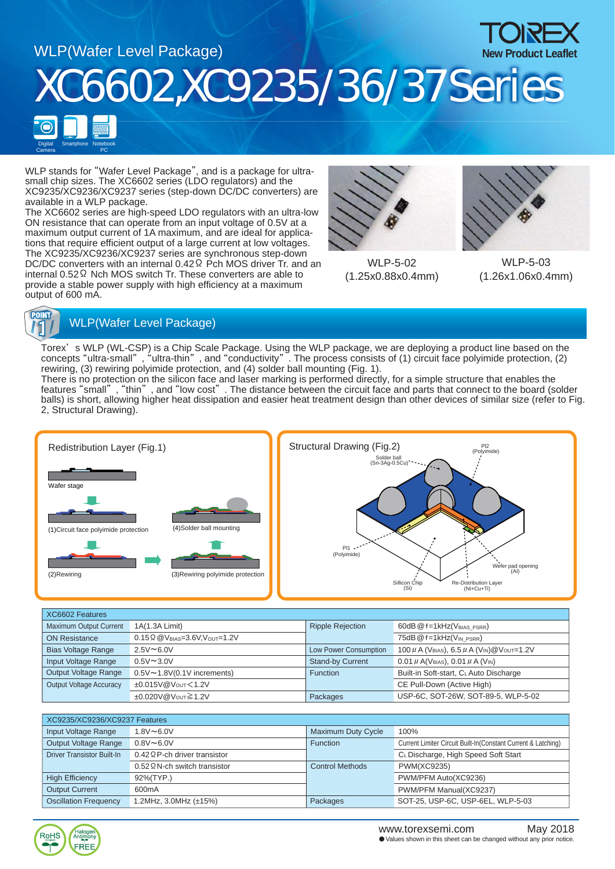

WLP stands for "Wafer Level Package", and is a package for ultrasmall chip sizes. The XC6602 series (LDO regulators) and the XC9235/XC9236/XC9237 series (step-down DC/DC converters) are available in a WLP package.

The XC6602 series are high-speed LDO regulators with an ultra-low ON resistance that can operate from an input voltage of 0.5V at a maximum output current of 1A maximum, and are ideal for applications that require efficient output of a large current at low voltages. The XC9235/XC9236/XC9237 series are synchronous step-down DC/DC converters with an internal 0.42 Ω Pch MOS driver Tr. and an internal 0.52Ω Nch MOS switch Tr. These converters are able to provide a stable power supply with high efficiency at a maximum output of 600 mA.



WLP-5-02 (1.25x0.88x0.4mm)



WLP-5-03 (1.26x1.06x0.4mm)



## **FOINT**<br>**14** WLP(Wafer Level Package)

Torex' s WLP (WL-CSP) is a Chip Scale Package. Using the WLP package, we are deploying a product line based on the concepts "ultra-small" , "ultra-thin" , and "conductivity" . The process consists of (1) circuit face polyimide protection, (2) rewiring, (3) rewiring polyimide protection, and (4) solder ball mounting (Fig. 1).

There is no protection on the silicon face and laser marking is performed directly, for a simple structure that enables the features "small" , "thin" , and "low cost" . The distance between the circuit face and parts that connect to the board (solder balls) is short, allowing higher heat dissipation and easier heat treatment design than other devices of similar size (refer to Fig. 2, Structural Drawing).



| XC6602 Features                |                                       |                         |                                                                                           |  |
|--------------------------------|---------------------------------------|-------------------------|-------------------------------------------------------------------------------------------|--|
| Maximum Output Current         | 1A(1.3A Limit)                        | <b>Ripple Rejection</b> | 60dB @ f=1kHz(VBIAS PSRR)                                                                 |  |
| <b>ON Resistance</b>           | $0.15 \Omega$ @ VBIAS=3.6V, VOUT=1.2V |                         | 75dB @ f=1kHz(VIN PSRR)                                                                   |  |
| <b>Bias Voltage Range</b>      | $2.5V \sim 6.0V$                      | Low Power Consumption   | 100 $\mu$ A (V <sub>BIAS</sub> ), 6.5 $\mu$ A (V <sub>IN</sub> ) @ V <sub>OUT</sub> =1.2V |  |
| Input Voltage Range            | $0.5V \sim 3.0V$                      | <b>Stand-by Current</b> | 0.01 $\mu$ A(V <sub>BIAS</sub> ), 0.01 $\mu$ A (V <sub>IN</sub> )                         |  |
| Output Voltage Range           | $0.5V \sim 1.8V(0.1V$ increments)     | <b>Function</b>         | Built-in Soft-start, CLAuto Discharge                                                     |  |
| <b>Output Voltage Accuracy</b> | ±0.015V@Vout<1.2V                     |                         | CE Pull-Down (Active High)                                                                |  |
|                                | ±0.020V@Vout≧1.2V                     | Packages                | USP-6C, SOT-26W, SOT-89-5, WLP-5-02                                                       |  |

| XC9235/XC9236/XC9237 Features     |                                      |                        |                                                               |  |
|-----------------------------------|--------------------------------------|------------------------|---------------------------------------------------------------|--|
| Input Voltage Range               | $1.8V \sim 6.0V$                     | Maximum Duty Cycle     | 100%                                                          |  |
| Output Voltage Range              | $0.8V \sim 6.0V$                     | <b>Function</b>        | Current Limiter Circuit Built-In(Constant Current & Latching) |  |
| <b>Driver Transistor Built-In</b> | $0.42 \Omega$ P-ch driver transistor |                        | CL Discharge, High Speed Soft Start                           |  |
|                                   | $0.52 \Omega$ N-ch switch transistor | <b>Control Methods</b> | <b>PWM(XC9235)</b>                                            |  |
| <b>High Efficiency</b>            | 92%(TYP.)                            |                        | PWM/PFM Auto(XC9236)                                          |  |
| <b>Output Current</b>             | 600 <sub>m</sub> A                   |                        | PWM/PFM Manual(XC9237)                                        |  |
| <b>Oscillation Frequency</b>      | 1.2MHz, $3.0$ MHz ( $\pm$ 15%)       | Packages               | SOT-25, USP-6C, USP-6EL, WLP-5-03                             |  |